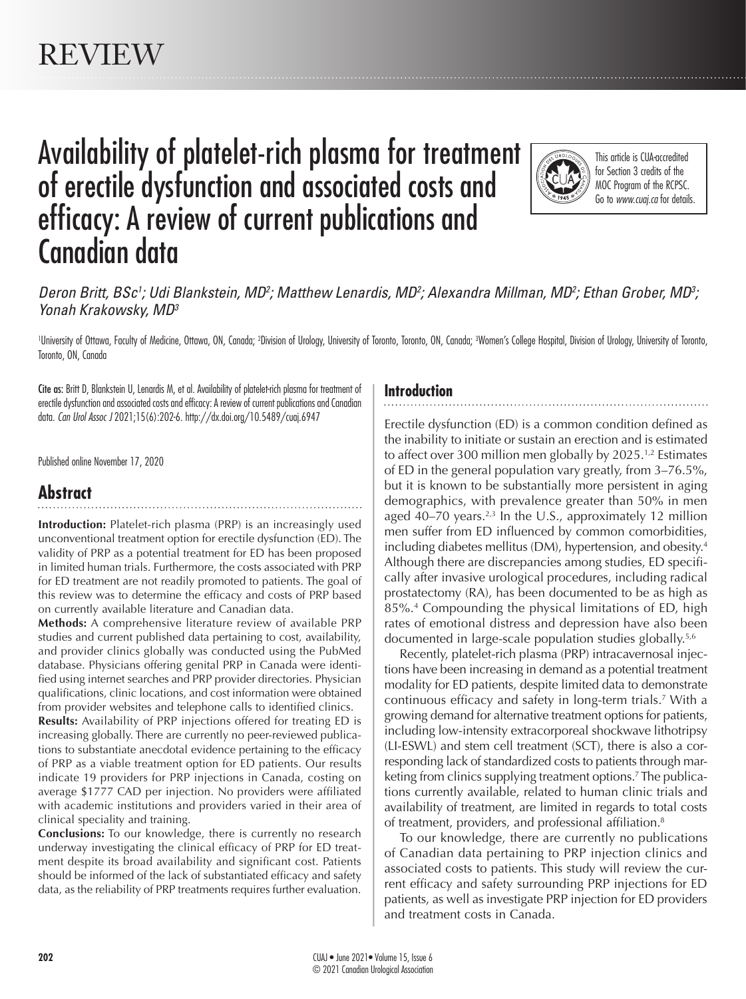# Availability of platelet-rich plasma for treatment of erectile dysfunction and associated costs and efficacy: A review of current publications and Canadian data



This article is CUA-accredited for Section 3 credits of the MOC Program of the RCPSC. Go to *www.cuaj.ca* for details.

## Deron Britt, BSc<sup>1</sup>; Udi Blankstein, MD<sup>2</sup>; Matthew Lenardis, MD<sup>2</sup>; Alexandra Millman, MD<sup>2</sup>; Ethan Grober, MD<sup>3</sup>; *Yonah Krakowsky, MD3*

'University of Ottawa, Faculty of Medicine, Ottawa, ON, Canada; <sup>2</sup>Division of Urology, University of Toronto, Toronto, Conda; <sup>3</sup>Women's College Hospital, Division of Urology, University of Toronto, Toronto, ON, Canada

Cite as: Britt D, Blankstein U, Lenardis M, et al. Availability of platelet-rich plasma for treatment of erectile dysfunction and associated costs and efficacy: A review of current publications and Canadian data. *Can Urol Assoc J* 2021;15(6):202-6. http://dx.doi.org/10.5489/cuaj.6947

Published online November 17, 2020

# **Abstract**

**Introduction:** Platelet-rich plasma (PRP) is an increasingly used unconventional treatment option for erectile dysfunction (ED). The validity of PRP as a potential treatment for ED has been proposed in limited human trials. Furthermore, the costs associated with PRP for ED treatment are not readily promoted to patients. The goal of this review was to determine the efficacy and costs of PRP based on currently available literature and Canadian data.

**Methods:** A comprehensive literature review of available PRP studies and current published data pertaining to cost, availability, and provider clinics globally was conducted using the PubMed database. Physicians offering genital PRP in Canada were identified using internet searches and PRP provider directories. Physician qualifications, clinic locations, and cost information were obtained from provider websites and telephone calls to identified clinics.

**Results:** Availability of PRP injections offered for treating ED is increasing globally. There are currently no peer-reviewed publications to substantiate anecdotal evidence pertaining to the efficacy of PRP as a viable treatment option for ED patients. Our results indicate 19 providers for PRP injections in Canada, costing on average \$1777 CAD per injection. No providers were affiliated with academic institutions and providers varied in their area of clinical speciality and training.

**Conclusions:** To our knowledge, there is currently no research underway investigating the clinical efficacy of PRP for ED treatment despite its broad availability and significant cost. Patients should be informed of the lack of substantiated efficacy and safety data, as the reliability of PRP treatments requires further evaluation.

#### **Introduction**

Erectile dysfunction (ED) is a common condition defined as the inability to initiate or sustain an erection and is estimated to affect over 300 million men globally by  $2025$ .<sup>1,2</sup> Estimates of ED in the general population vary greatly, from 3–76.5%, but it is known to be substantially more persistent in aging demographics, with prevalence greater than 50% in men aged 40–70 years.<sup>2,3</sup> In the U.S., approximately 12 million men suffer from ED influenced by common comorbidities, including diabetes mellitus (DM), hypertension, and obesity.<sup>4</sup> Although there are discrepancies among studies, ED specifically after invasive urological procedures, including radical prostatectomy (RA), has been documented to be as high as 85%.4 Compounding the physical limitations of ED, high rates of emotional distress and depression have also been documented in large-scale population studies globally.5,6

Recently, platelet-rich plasma (PRP) intracavernosal injections have been increasing in demand as a potential treatment modality for ED patients, despite limited data to demonstrate continuous efficacy and safety in long-term trials.7 With a growing demand for alternative treatment options for patients, including low-intensity extracorporeal shockwave lithotripsy (LI-ESWL) and stem cell treatment (SCT), there is also a corresponding lack of standardized costs to patients through marketing from clinics supplying treatment options.7 The publications currently available, related to human clinic trials and availability of treatment, are limited in regards to total costs of treatment, providers, and professional affiliation.8

To our knowledge, there are currently no publications of Canadian data pertaining to PRP injection clinics and associated costs to patients. This study will review the current efficacy and safety surrounding PRP injections for ED patients, as well as investigate PRP injection for ED providers and treatment costs in Canada.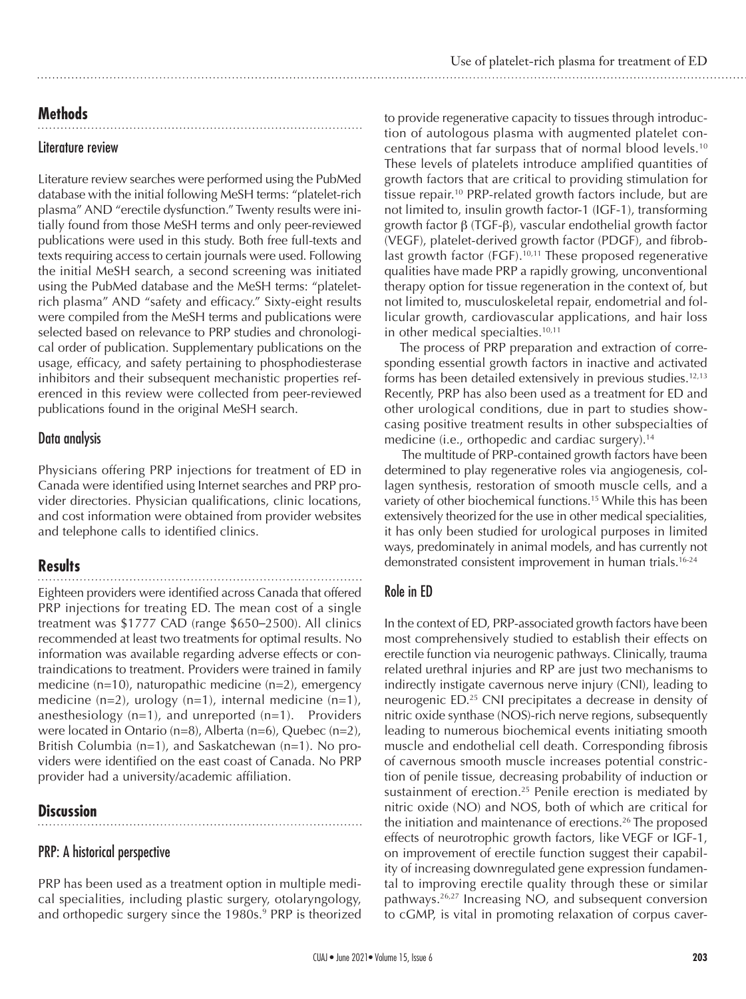# **Methods**

#### Literature review

Literature review searches were performed using the PubMed database with the initial following MeSH terms: "platelet-rich plasma" AND "erectile dysfunction." Twenty results were initially found from those MeSH terms and only peer-reviewed publications were used in this study. Both free full-texts and texts requiring access to certain journals were used. Following the initial MeSH search, a second screening was initiated using the PubMed database and the MeSH terms: "plateletrich plasma" AND "safety and efficacy." Sixty-eight results were compiled from the MeSH terms and publications were selected based on relevance to PRP studies and chronological order of publication. Supplementary publications on the usage, efficacy, and safety pertaining to phosphodiesterase inhibitors and their subsequent mechanistic properties referenced in this review were collected from peer-reviewed publications found in the original MeSH search.

## Data analysis

Physicians offering PRP injections for treatment of ED in Canada were identified using Internet searches and PRP provider directories. Physician qualifications, clinic locations, and cost information were obtained from provider websites and telephone calls to identified clinics.

# **Results**

Eighteen providers were identified across Canada that offered PRP injections for treating ED. The mean cost of a single treatment was \$1777 CAD (range \$650–2500). All clinics recommended at least two treatments for optimal results. No information was available regarding adverse effects or contraindications to treatment. Providers were trained in family medicine (n=10), naturopathic medicine (n=2), emergency medicine  $(n=2)$ , urology  $(n=1)$ , internal medicine  $(n=1)$ , anesthesiology  $(n=1)$ , and unreported  $(n=1)$ . Providers were located in Ontario (n=8), Alberta (n=6), Quebec (n=2), British Columbia (n=1), and Saskatchewan (n=1). No providers were identified on the east coast of Canada. No PRP provider had a university/academic affiliation.

# **Discussion**

## PRP: A historical perspective

PRP has been used as a treatment option in multiple medical specialities, including plastic surgery, otolaryngology, and orthopedic surgery since the 1980s.<sup>9</sup> PRP is theorized

to provide regenerative capacity to tissues through introduction of autologous plasma with augmented platelet concentrations that far surpass that of normal blood levels.10 These levels of platelets introduce amplified quantities of growth factors that are critical to providing stimulation for tissue repair.<sup>10</sup> PRP-related growth factors include, but are not limited to, insulin growth factor-1 (IGF-1), transforming growth factor  $\beta$  (TGF- $\beta$ ), vascular endothelial growth factor (VEGF), platelet-derived growth factor (PDGF), and fibroblast growth factor (FGF).<sup>10,11</sup> These proposed regenerative qualities have made PRP a rapidly growing, unconventional therapy option for tissue regeneration in the context of, but not limited to, musculoskeletal repair, endometrial and follicular growth, cardiovascular applications, and hair loss in other medical specialties.<sup>10,11</sup>

The process of PRP preparation and extraction of corresponding essential growth factors in inactive and activated forms has been detailed extensively in previous studies.<sup>12,13</sup> Recently, PRP has also been used as a treatment for ED and other urological conditions, due in part to studies showcasing positive treatment results in other subspecialties of medicine (i.e., orthopedic and cardiac surgery).<sup>14</sup>

 The multitude of PRP-contained growth factors have been determined to play regenerative roles via angiogenesis, collagen synthesis, restoration of smooth muscle cells, and a variety of other biochemical functions.<sup>15</sup> While this has been extensively theorized for the use in other medical specialities, it has only been studied for urological purposes in limited ways, predominately in animal models, and has currently not demonstrated consistent improvement in human trials.16-24

# Role in ED

In the context of ED, PRP-associated growth factors have been most comprehensively studied to establish their effects on erectile function via neurogenic pathways. Clinically, trauma related urethral injuries and RP are just two mechanisms to indirectly instigate cavernous nerve injury (CNI), leading to neurogenic ED.25 CNI precipitates a decrease in density of nitric oxide synthase (NOS)-rich nerve regions, subsequently leading to numerous biochemical events initiating smooth muscle and endothelial cell death. Corresponding fibrosis of cavernous smooth muscle increases potential constriction of penile tissue, decreasing probability of induction or sustainment of erection.<sup>25</sup> Penile erection is mediated by nitric oxide (NO) and NOS, both of which are critical for the initiation and maintenance of erections.<sup>26</sup> The proposed effects of neurotrophic growth factors, like VEGF or IGF-1, on improvement of erectile function suggest their capability of increasing downregulated gene expression fundamental to improving erectile quality through these or similar pathways.26,27 Increasing NO, and subsequent conversion to cGMP, is vital in promoting relaxation of corpus caver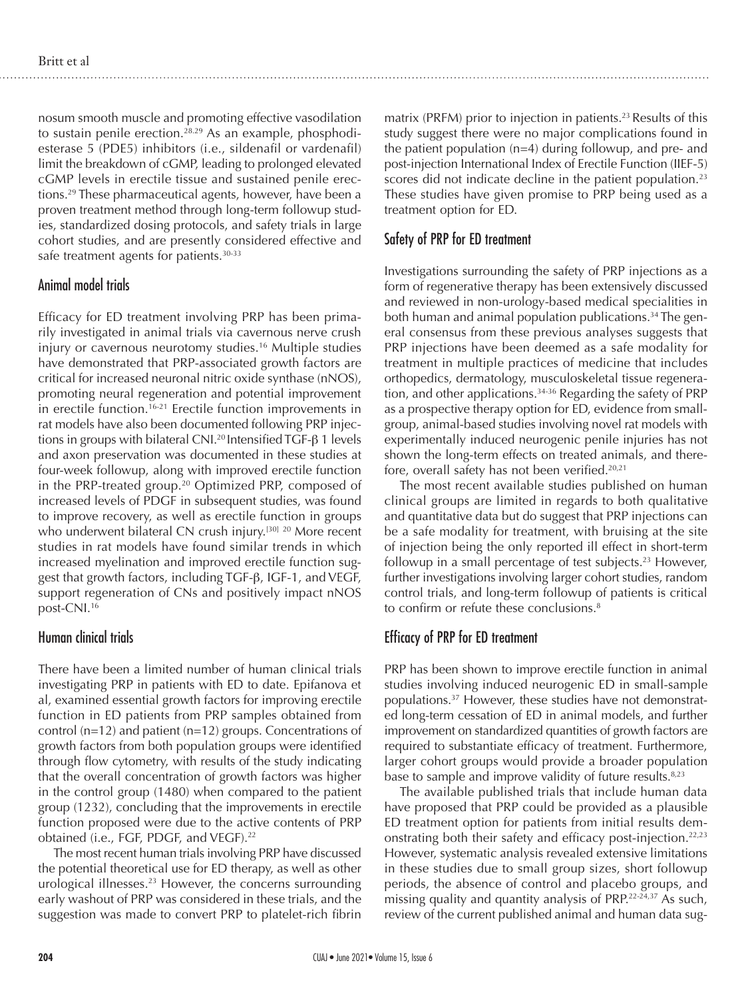nosum smooth muscle and promoting effective vasodilation to sustain penile erection.<sup>28.29</sup> As an example, phosphodiesterase 5 (PDE5) inhibitors (i.e., sildenafil or vardenafil) limit the breakdown of cGMP, leading to prolonged elevated cGMP levels in erectile tissue and sustained penile erections.29 These pharmaceutical agents, however, have been a proven treatment method through long-term followup studies, standardized dosing protocols, and safety trials in large cohort studies, and are presently considered effective and safe treatment agents for patients.<sup>30-33</sup>

#### Animal model trials

Efficacy for ED treatment involving PRP has been primarily investigated in animal trials via cavernous nerve crush injury or cavernous neurotomy studies.<sup>16</sup> Multiple studies have demonstrated that PRP-associated growth factors are critical for increased neuronal nitric oxide synthase (nNOS), promoting neural regeneration and potential improvement in erectile function.<sup>16-21</sup> Erectile function improvements in rat models have also been documented following PRP injections in groups with bilateral CNI.<sup>20</sup> Intensified TGF- $\beta$  1 levels and axon preservation was documented in these studies at four-week followup, along with improved erectile function in the PRP-treated group.<sup>20</sup> Optimized PRP, composed of increased levels of PDGF in subsequent studies, was found to improve recovery, as well as erectile function in groups who underwent bilateral CN crush injury.<sup>[30] 20</sup> More recent studies in rat models have found similar trends in which increased myelination and improved erectile function suggest that growth factors, including TGF-b, IGF-1, and VEGF, support regeneration of CNs and positively impact nNOS post-CNI.16

#### Human clinical trials

There have been a limited number of human clinical trials investigating PRP in patients with ED to date. Epifanova et al, examined essential growth factors for improving erectile function in ED patients from PRP samples obtained from control (n=12) and patient (n=12) groups. Concentrations of growth factors from both population groups were identified through flow cytometry, with results of the study indicating that the overall concentration of growth factors was higher in the control group (1480) when compared to the patient group (1232), concluding that the improvements in erectile function proposed were due to the active contents of PRP obtained (i.e., FGF, PDGF, and VEGF).<sup>22</sup>

The most recent human trials involving PRP have discussed the potential theoretical use for ED therapy, as well as other urological illnesses.<sup>23</sup> However, the concerns surrounding early washout of PRP was considered in these trials, and the suggestion was made to convert PRP to platelet-rich fibrin

matrix (PRFM) prior to injection in patients.<sup>23</sup> Results of this study suggest there were no major complications found in the patient population (n=4) during followup, and pre- and post-injection International Index of Erectile Function (IIEF-5) scores did not indicate decline in the patient population.<sup>23</sup> These studies have given promise to PRP being used as a treatment option for ED.

# Safety of PRP for ED treatment

Investigations surrounding the safety of PRP injections as a form of regenerative therapy has been extensively discussed and reviewed in non-urology-based medical specialities in both human and animal population publications.<sup>34</sup> The general consensus from these previous analyses suggests that PRP injections have been deemed as a safe modality for treatment in multiple practices of medicine that includes orthopedics, dermatology, musculoskeletal tissue regeneration, and other applications.<sup>34-36</sup> Regarding the safety of PRP as a prospective therapy option for ED, evidence from smallgroup, animal-based studies involving novel rat models with experimentally induced neurogenic penile injuries has not shown the long-term effects on treated animals, and therefore, overall safety has not been verified.<sup>20,21</sup>

The most recent available studies published on human clinical groups are limited in regards to both qualitative and quantitative data but do suggest that PRP injections can be a safe modality for treatment, with bruising at the site of injection being the only reported ill effect in short-term followup in a small percentage of test subjects.<sup>23</sup> However, further investigations involving larger cohort studies, random control trials, and long-term followup of patients is critical to confirm or refute these conclusions.<sup>8</sup>

# Efficacy of PRP for ED treatment

PRP has been shown to improve erectile function in animal studies involving induced neurogenic ED in small-sample populations.37 However, these studies have not demonstrated long-term cessation of ED in animal models, and further improvement on standardized quantities of growth factors are required to substantiate efficacy of treatment. Furthermore, larger cohort groups would provide a broader population base to sample and improve validity of future results.<sup>8,23</sup>

The available published trials that include human data have proposed that PRP could be provided as a plausible ED treatment option for patients from initial results demonstrating both their safety and efficacy post-injection.<sup>22,23</sup> However, systematic analysis revealed extensive limitations in these studies due to small group sizes, short followup periods, the absence of control and placebo groups, and missing quality and quantity analysis of PRP.<sup>22-24,37</sup> As such, review of the current published animal and human data sug-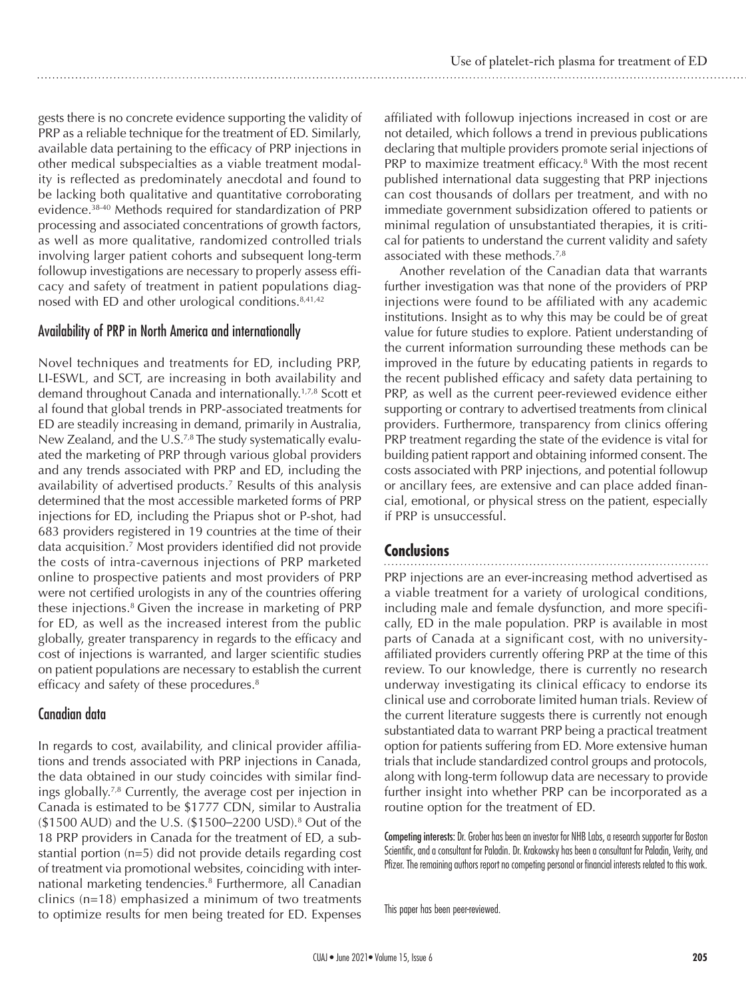gests there is no concrete evidence supporting the validity of PRP as a reliable technique for the treatment of ED. Similarly, available data pertaining to the efficacy of PRP injections in other medical subspecialties as a viable treatment modality is reflected as predominately anecdotal and found to be lacking both qualitative and quantitative corroborating evidence.38-40 Methods required for standardization of PRP processing and associated concentrations of growth factors, as well as more qualitative, randomized controlled trials involving larger patient cohorts and subsequent long-term followup investigations are necessary to properly assess efficacy and safety of treatment in patient populations diagnosed with ED and other urological conditions. $8,41,42$ 

#### Availability of PRP in North America and internationally

Novel techniques and treatments for ED, including PRP, LI-ESWL, and SCT, are increasing in both availability and demand throughout Canada and internationally.1,7,8 Scott et al found that global trends in PRP-associated treatments for ED are steadily increasing in demand, primarily in Australia, New Zealand, and the U.S.<sup>7,8</sup> The study systematically evaluated the marketing of PRP through various global providers and any trends associated with PRP and ED, including the availability of advertised products.7 Results of this analysis determined that the most accessible marketed forms of PRP injections for ED, including the Priapus shot or P-shot, had 683 providers registered in 19 countries at the time of their data acquisition.7 Most providers identified did not provide the costs of intra-cavernous injections of PRP marketed online to prospective patients and most providers of PRP were not certified urologists in any of the countries offering these injections.8 Given the increase in marketing of PRP for ED, as well as the increased interest from the public globally, greater transparency in regards to the efficacy and cost of injections is warranted, and larger scientific studies on patient populations are necessary to establish the current efficacy and safety of these procedures.<sup>8</sup>

## Canadian data

In regards to cost, availability, and clinical provider affiliations and trends associated with PRP injections in Canada, the data obtained in our study coincides with similar findings globally.7,8 Currently, the average cost per injection in Canada is estimated to be \$1777 CDN, similar to Australia (\$1500 AUD) and the U.S. (\$1500–2200 USD).8 Out of the 18 PRP providers in Canada for the treatment of ED, a substantial portion (n=5) did not provide details regarding cost of treatment via promotional websites, coinciding with international marketing tendencies.<sup>8</sup> Furthermore, all Canadian clinics (n=18) emphasized a minimum of two treatments to optimize results for men being treated for ED. Expenses

affiliated with followup injections increased in cost or are not detailed, which follows a trend in previous publications declaring that multiple providers promote serial injections of PRP to maximize treatment efficacy.<sup>8</sup> With the most recent published international data suggesting that PRP injections can cost thousands of dollars per treatment, and with no immediate government subsidization offered to patients or minimal regulation of unsubstantiated therapies, it is critical for patients to understand the current validity and safety associated with these methods.7,8

Another revelation of the Canadian data that warrants further investigation was that none of the providers of PRP injections were found to be affiliated with any academic institutions. Insight as to why this may be could be of great value for future studies to explore. Patient understanding of the current information surrounding these methods can be improved in the future by educating patients in regards to the recent published efficacy and safety data pertaining to PRP, as well as the current peer-reviewed evidence either supporting or contrary to advertised treatments from clinical providers. Furthermore, transparency from clinics offering PRP treatment regarding the state of the evidence is vital for building patient rapport and obtaining informed consent. The costs associated with PRP injections, and potential followup or ancillary fees, are extensive and can place added financial, emotional, or physical stress on the patient, especially if PRP is unsuccessful.

## **Conclusions**

PRP injections are an ever-increasing method advertised as a viable treatment for a variety of urological conditions, including male and female dysfunction, and more specifically, ED in the male population. PRP is available in most parts of Canada at a significant cost, with no universityaffiliated providers currently offering PRP at the time of this review. To our knowledge, there is currently no research underway investigating its clinical efficacy to endorse its clinical use and corroborate limited human trials. Review of the current literature suggests there is currently not enough substantiated data to warrant PRP being a practical treatment option for patients suffering from ED. More extensive human trials that include standardized control groups and protocols, along with long-term followup data are necessary to provide further insight into whether PRP can be incorporated as a routine option for the treatment of ED.

Competing interests: Dr. Grober has been an investor for NHB Labs, a research supporter for Boston Scientific, and a consultant for Paladin. Dr. Krakowsky has been a consultant for Paladin, Verity, and Pfizer. The remaining authors report no competing personal or financial interests related to this work.

This paper has been peer-reviewed.